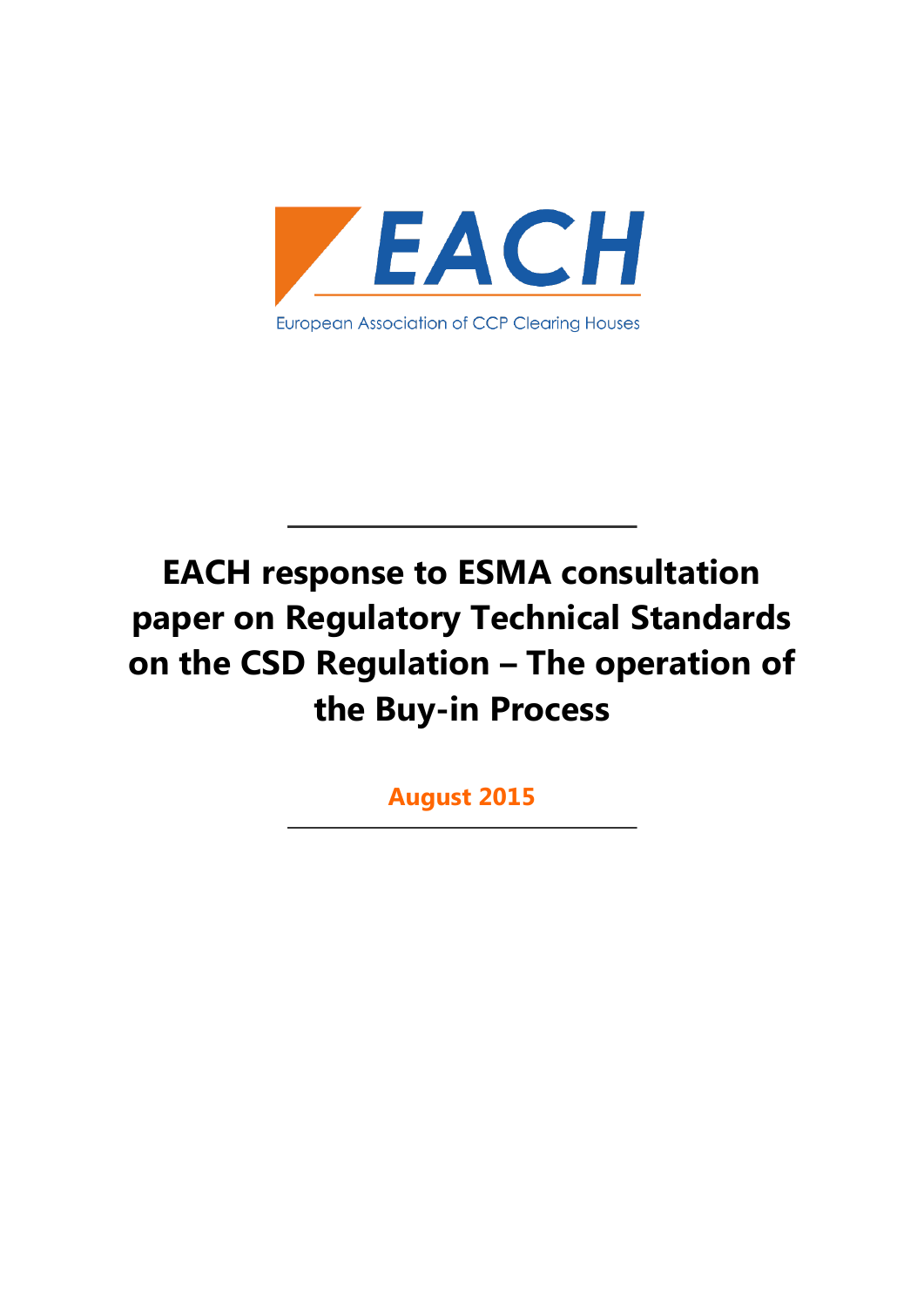

# **EACH response to ESMA consultation paper on Regulatory Technical Standards on the CSD Regulation – The operation of the Buy-in Process**

**August 2015**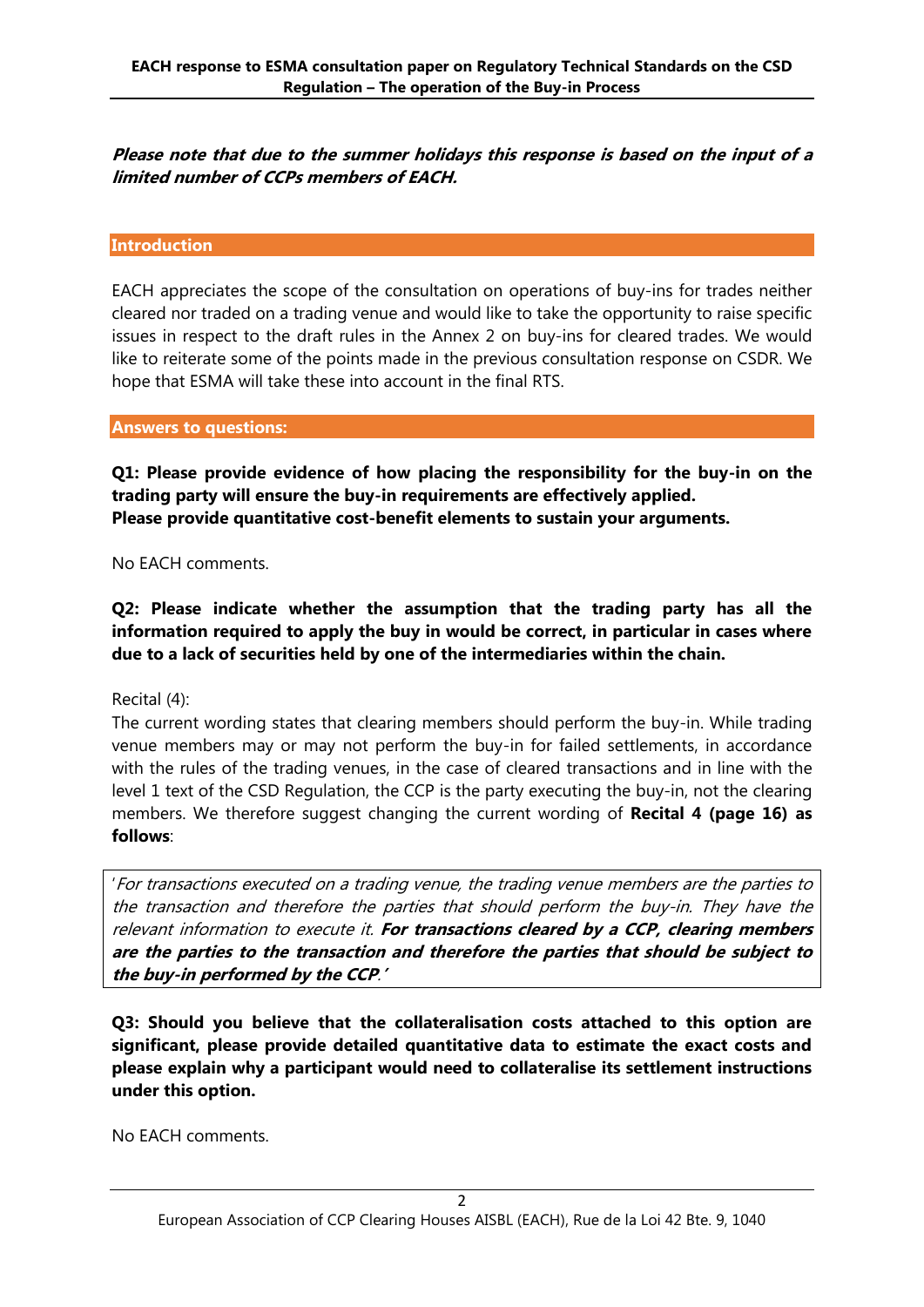**Please note that due to the summer holidays this response is based on the input of a limited number of CCPs members of EACH.**

#### **Introduction**

EACH appreciates the scope of the consultation on operations of buy-ins for trades neither cleared nor traded on a trading venue and would like to take the opportunity to raise specific issues in respect to the draft rules in the Annex 2 on buy-ins for cleared trades. We would like to reiterate some of the points made in the previous consultation response on CSDR. We hope that ESMA will take these into account in the final RTS.

#### **Answers to questions:**

**Q1: Please provide evidence of how placing the responsibility for the buy-in on the trading party will ensure the buy-in requirements are effectively applied. Please provide quantitative cost-benefit elements to sustain your arguments.**

No EACH comments.

**Q2: Please indicate whether the assumption that the trading party has all the information required to apply the buy in would be correct, in particular in cases where due to a lack of securities held by one of the intermediaries within the chain.**

Recital (4):

The current wording states that clearing members should perform the buy-in. While trading venue members may or may not perform the buy-in for failed settlements, in accordance with the rules of the trading venues, in the case of cleared transactions and in line with the level 1 text of the CSD Regulation, the CCP is the party executing the buy-in, not the clearing members. We therefore suggest changing the current wording of **Recital 4 (page 16) as follows**:

'For transactions executed on a trading venue, the trading venue members are the parties to the transaction and therefore the parties that should perform the buy-in. They have the relevant information to execute it. **For transactions cleared by a CCP, clearing members are the parties to the transaction and therefore the parties that should be subject to the buy-in performed by the CCP**.**'**

**Q3: Should you believe that the collateralisation costs attached to this option are significant, please provide detailed quantitative data to estimate the exact costs and please explain why a participant would need to collateralise its settlement instructions under this option.**

No EACH comments.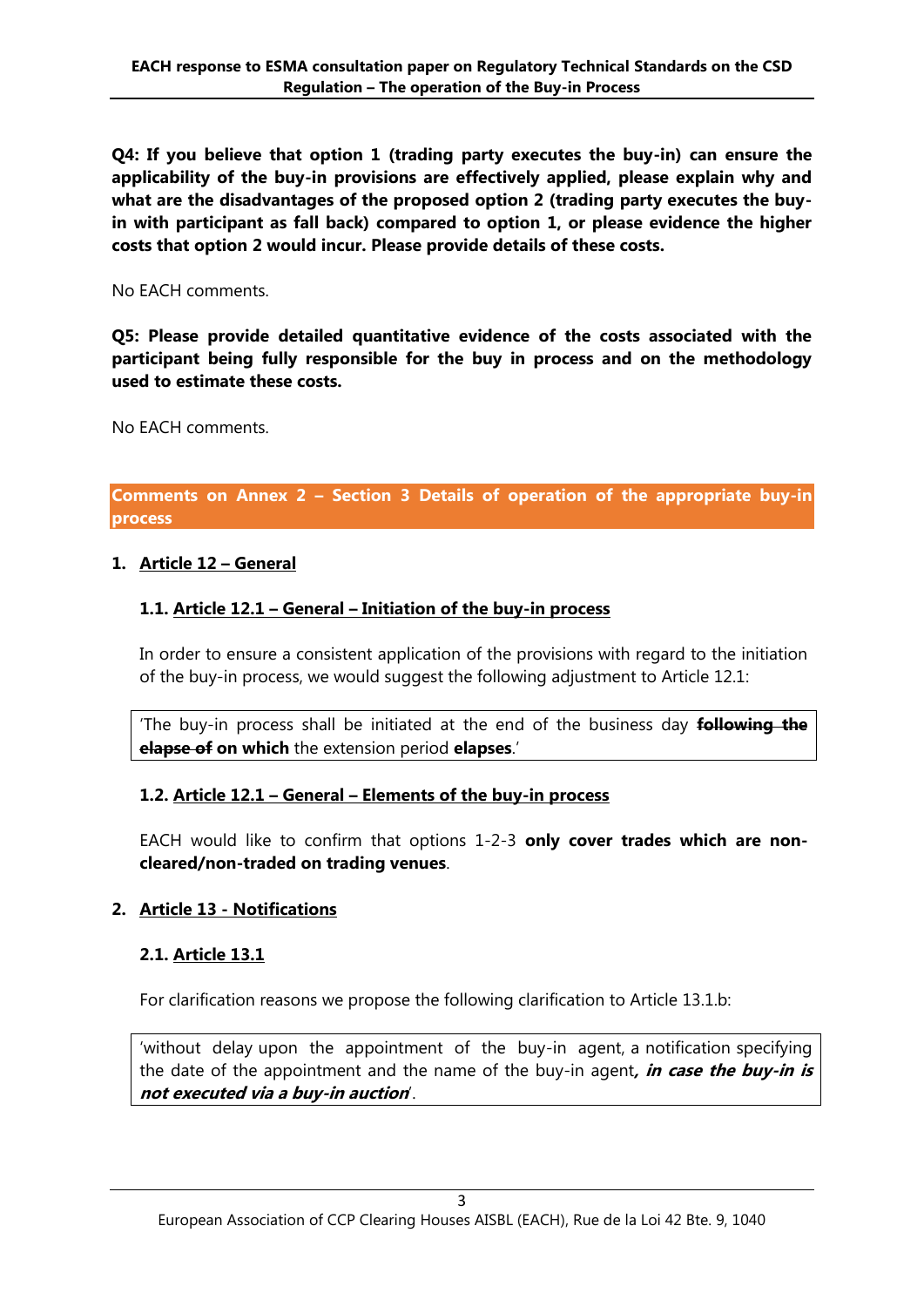**Q4: If you believe that option 1 (trading party executes the buy-in) can ensure the applicability of the buy-in provisions are effectively applied, please explain why and what are the disadvantages of the proposed option 2 (trading party executes the buyin with participant as fall back) compared to option 1, or please evidence the higher costs that option 2 would incur. Please provide details of these costs.**

No EACH comments.

**Q5: Please provide detailed quantitative evidence of the costs associated with the participant being fully responsible for the buy in process and on the methodology used to estimate these costs.**

No EACH comments.

**Comments on Annex 2 – Section 3 Details of operation of the appropriate buy-in process**

#### **1. Article 12 – General**

## **1.1. Article 12.1 – General – Initiation of the buy-in process**

In order to ensure a consistent application of the provisions with regard to the initiation of the buy-in process, we would suggest the following adjustment to Article 12.1:

'The buy-in process shall be initiated at the end of the business day **following the elapse of on which** the extension period **elapses**.'

## **1.2. Article 12.1 – General – Elements of the buy-in process**

EACH would like to confirm that options 1-2-3 **only cover trades which are noncleared/non-traded on trading venues**.

## **2. Article 13 - Notifications**

## **2.1. Article 13.1**

For clarification reasons we propose the following clarification to Article 13.1.b:

'without delay upon the appointment of the buy-in agent, a notification specifying the date of the appointment and the name of the buy-in agent**, in case the buy-in is not executed via a buy-in auction**'.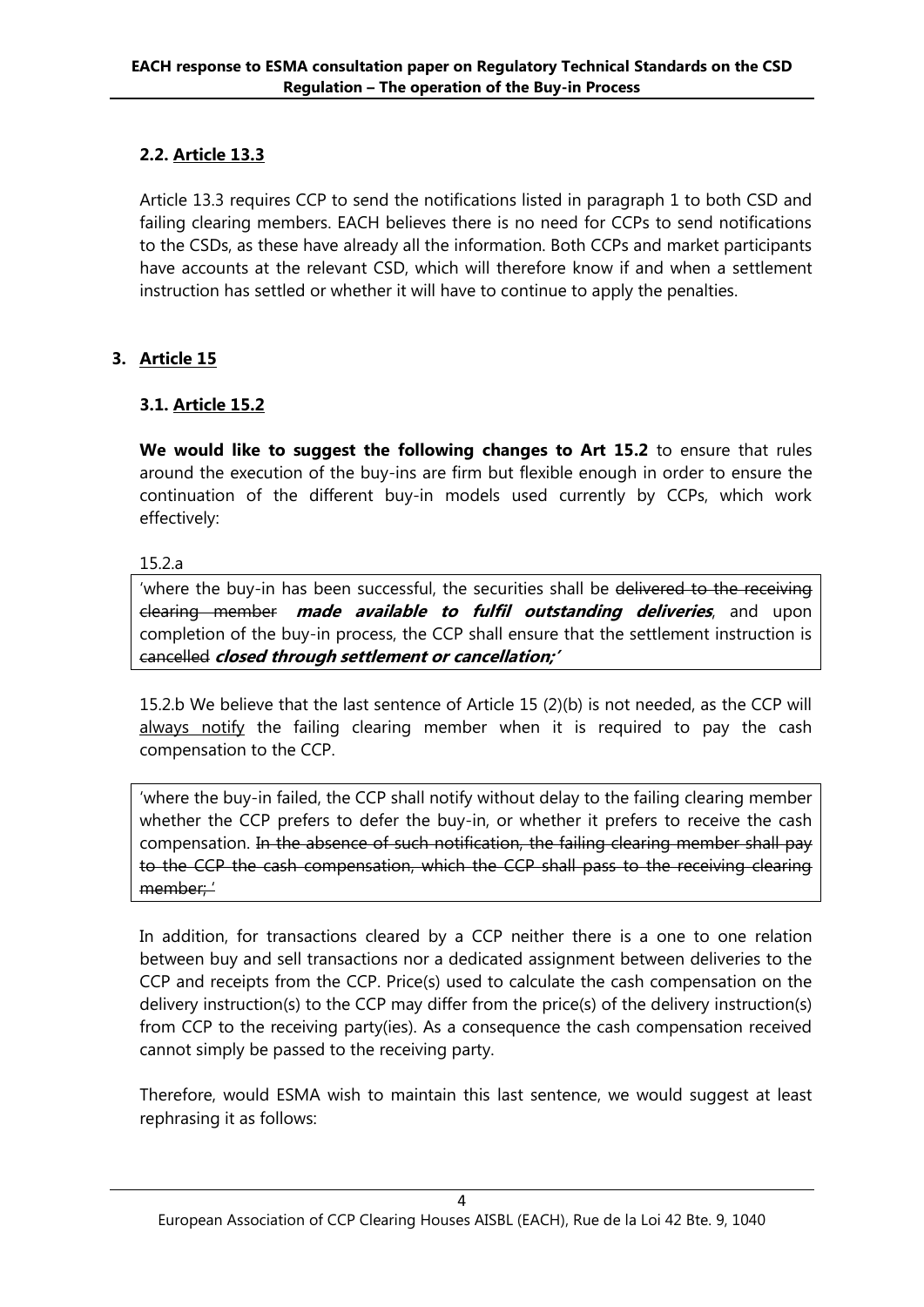# **2.2. Article 13.3**

Article 13.3 requires CCP to send the notifications listed in paragraph 1 to both CSD and failing clearing members. EACH believes there is no need for CCPs to send notifications to the CSDs, as these have already all the information. Both CCPs and market participants have accounts at the relevant CSD, which will therefore know if and when a settlement instruction has settled or whether it will have to continue to apply the penalties.

# **3. Article 15**

# **3.1. Article 15.2**

**We would like to suggest the following changes to Art 15.2** to ensure that rules around the execution of the buy-ins are firm but flexible enough in order to ensure the continuation of the different buy-in models used currently by CCPs, which work effectively:

#### 15.2.a

'where the buy-in has been successful, the securities shall be delivered to the receiving clearing member **made available to fulfil outstanding deliveries**, and upon completion of the buy-in process, the CCP shall ensure that the settlement instruction is cancelled **closed through settlement or cancellation;'**

15.2.b We believe that the last sentence of Article 15 (2)(b) is not needed, as the CCP will always notify the failing clearing member when it is required to pay the cash compensation to the CCP.

'where the buy-in failed, the CCP shall notify without delay to the failing clearing member whether the CCP prefers to defer the buy-in, or whether it prefers to receive the cash compensation. In the absence of such notification, the failing clearing member shall pay to the CCP the cash compensation, which the CCP shall pass to the receiving clearing member; '

In addition, for transactions cleared by a CCP neither there is a one to one relation between buy and sell transactions nor a dedicated assignment between deliveries to the CCP and receipts from the CCP. Price(s) used to calculate the cash compensation on the delivery instruction(s) to the CCP may differ from the price(s) of the delivery instruction(s) from CCP to the receiving party(ies). As a consequence the cash compensation received cannot simply be passed to the receiving party.

Therefore, would ESMA wish to maintain this last sentence, we would suggest at least rephrasing it as follows: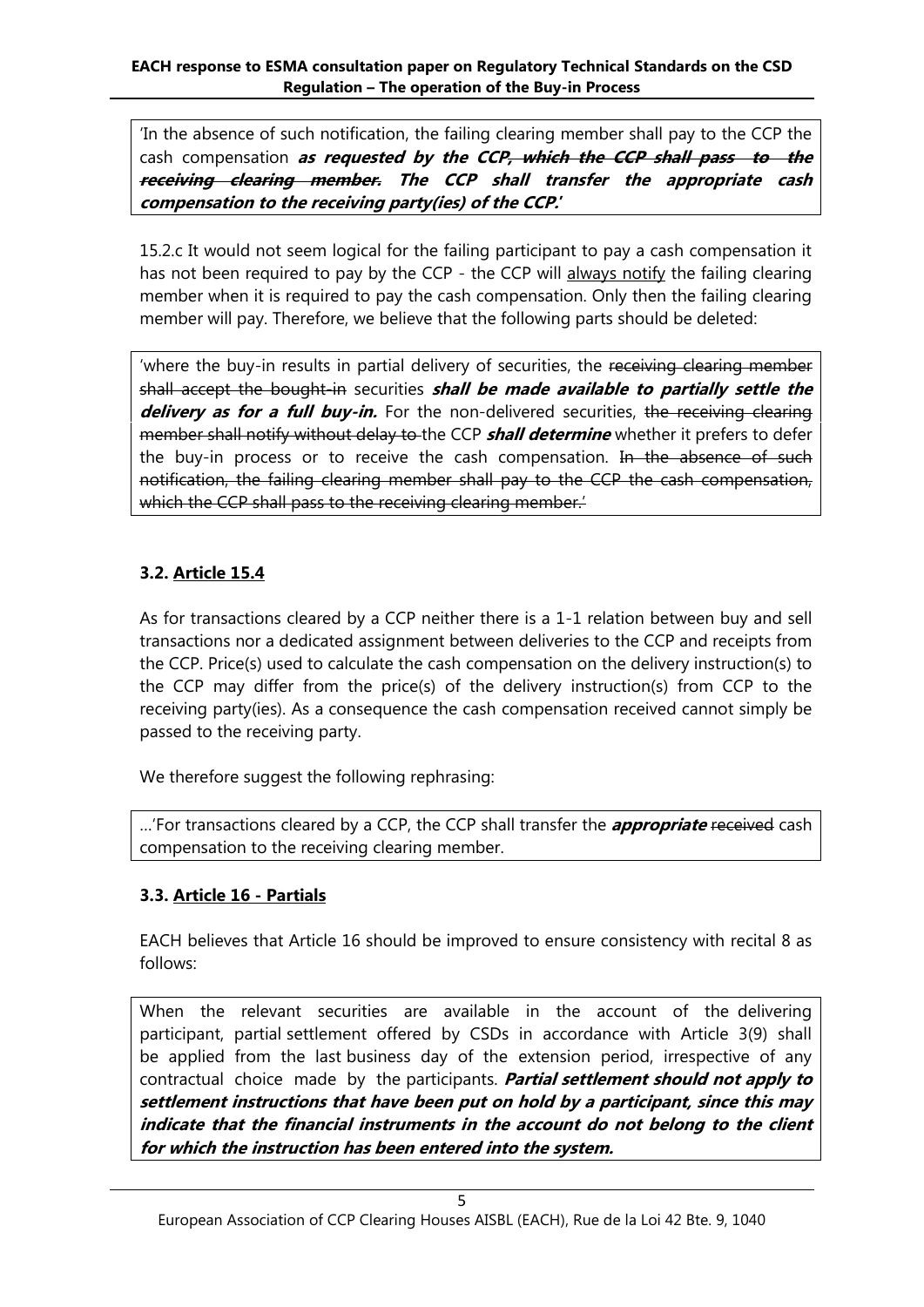'In the absence of such notification, the failing clearing member shall pay to the CCP the cash compensation **as requested by the CCP, which the CCP shall pass to the receiving clearing member. The CCP shall transfer the appropriate cash compensation to the receiving party(ies) of the CCP.'**

15.2.c It would not seem logical for the failing participant to pay a cash compensation it has not been required to pay by the CCP - the CCP will always notify the failing clearing member when it is required to pay the cash compensation. Only then the failing clearing member will pay. Therefore, we believe that the following parts should be deleted:

'where the buy-in results in partial delivery of securities, the receiving clearing member shall accept the bought-in securities **shall be made available to partially settle the**  delivery as for a full buy-in. For the non-delivered securities, the receiving clearing member shall notify without delay to the CCP **shall determine** whether it prefers to defer the buy-in process or to receive the cash compensation. In the absence of such notification, the failing clearing member shall pay to the CCP the cash compensation, which the CCP shall pass to the receiving clearing member.

# **3.2. Article 15.4**

As for transactions cleared by a CCP neither there is a 1-1 relation between buy and sell transactions nor a dedicated assignment between deliveries to the CCP and receipts from the CCP. Price(s) used to calculate the cash compensation on the delivery instruction(s) to the CCP may differ from the price(s) of the delivery instruction(s) from CCP to the receiving party(ies). As a consequence the cash compensation received cannot simply be passed to the receiving party.

We therefore suggest the following rephrasing:

…'For transactions cleared by a CCP, the CCP shall transfer the **appropriate** received cash compensation to the receiving clearing member.

# **3.3. Article 16 - Partials**

EACH believes that Article 16 should be improved to ensure consistency with recital 8 as follows:

When the relevant securities are available in the account of the delivering participant, partial settlement offered by CSDs in accordance with Article 3(9) shall be applied from the last business day of the extension period, irrespective of any contractual choice made by the participants. **Partial settlement should not apply to settlement instructions that have been put on hold by a participant, since this may indicate that the financial instruments in the account do not belong to the client for which the instruction has been entered into the system.**